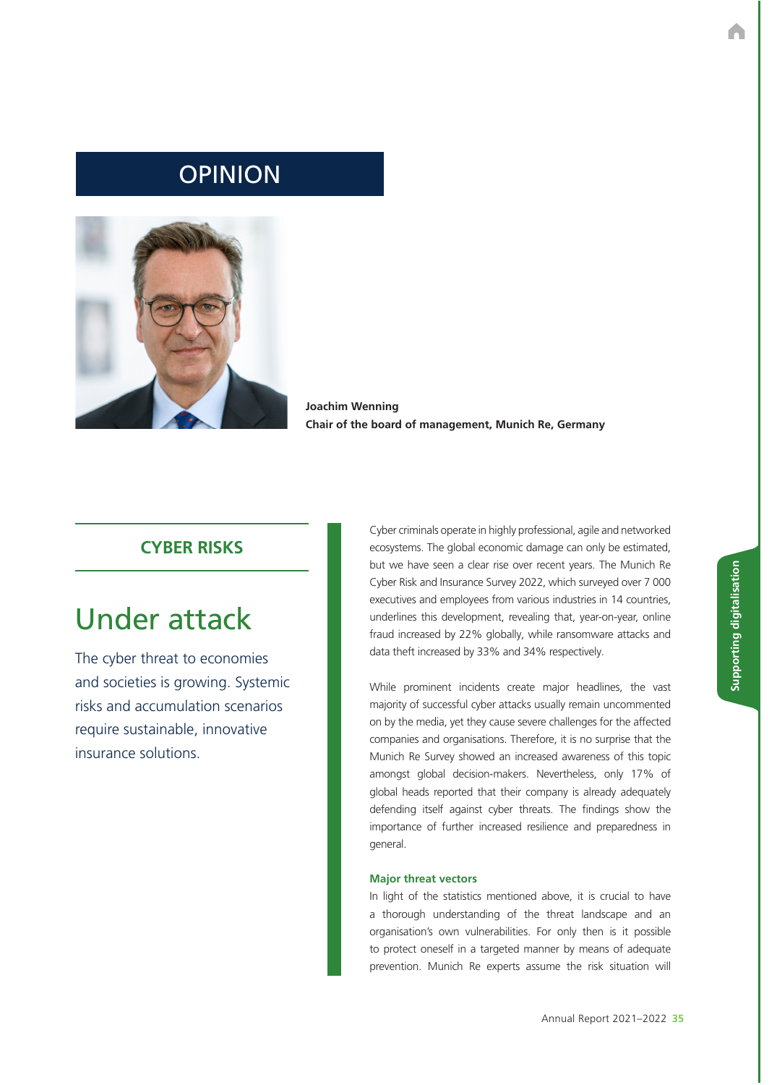## OPINION



**Joachim Wenning Chair of the board of management, Munich Re, Germany**

### **CYBER RISKS**

# Under attack

The cyber threat to economies and societies is growing. Systemic risks and accumulation scenarios require sustainable, innovative insurance solutions.

Cyber criminals operate in highly professional, agile and networked ecosystems. The global economic damage can only be estimated, but we have seen a clear rise over recent years. The Munich Re Cyber Risk and Insurance Survey 2022, which surveyed over 7 000 executives and employees from various industries in 14 countries, underlines this development, revealing that, year-on-year, online fraud increased by 22% globally, while ransomware attacks and data theft increased by 33% and 34% respectively.

While prominent incidents create major headlines, the vast majority of successful cyber attacks usually remain uncommented on by the media, yet they cause severe challenges for the affected companies and organisations. Therefore, it is no surprise that the Munich Re Survey showed an increased awareness of this topic amongst global decision-makers. Nevertheless, only 17% of global heads reported that their company is already adequately defending itself against cyber threats. The findings show the importance of further increased resilience and preparedness in general.

#### **Major threat vectors**

In light of the statistics mentioned above, it is crucial to have a thorough understanding of the threat landscape and an organisation's own vulnerabilities. For only then is it possible to protect oneself in a targeted manner by means of adequate prevention. Munich Re experts assume the risk situation will

Annual Report 2021–2022 **35**